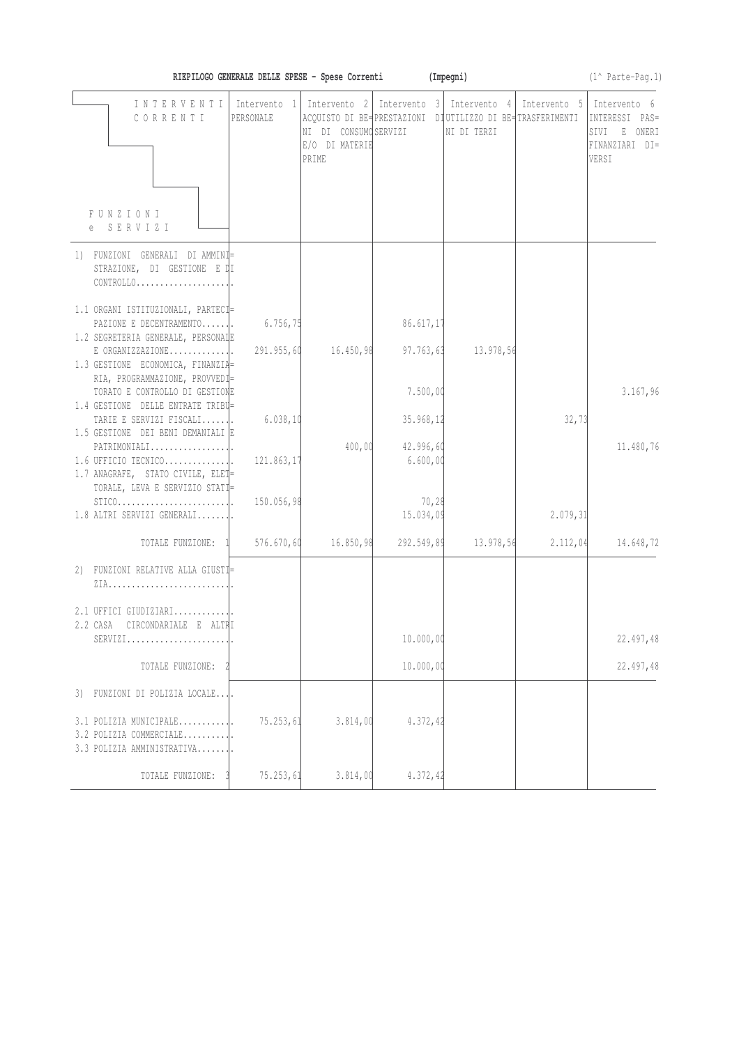| RIEPILOGO GENERALE DELLE SPESE - Spese Correnti<br>(Impegni)<br>(1^ Parte-Pag.1)                             |                                      |                                                                  |                                                             |                                          |              |                                                                              |  |
|--------------------------------------------------------------------------------------------------------------|--------------------------------------|------------------------------------------------------------------|-------------------------------------------------------------|------------------------------------------|--------------|------------------------------------------------------------------------------|--|
| INTERVENTI<br>CORRENTI<br><b>FUNZIONI</b><br>e SERVIZI                                                       | Intervento <sub>1</sub><br>PERSONALE | Intervento 2<br>NI DI CONSUMO SERVIZI<br>E/O DI MATERIE<br>PRIME | ACQUISTO DI BE= PRESTAZIONI DIUTILIZZO DI BE= TRASFERIMENTI | Intervento 3 Intervento 4<br>NI DI TERZI | Intervento 5 | Intervento 6<br>INTERESSI PAS=<br>E ONERI<br>SIVI<br>FINANZIARI DI=<br>VERSI |  |
| 1) FUNZIONI GENERALI DI AMMINI=<br>STRAZIONE, DI GESTIONE E DI<br>$CONTROLLO.$                               |                                      |                                                                  |                                                             |                                          |              |                                                                              |  |
| 1.1 ORGANI ISTITUZIONALI, PARTECI=<br>PAZIONE E DECENTRAMENTO<br>1.2 SEGRETERIA GENERALE, PERSONALE          | 6.756,75                             |                                                                  | 86.617,17                                                   |                                          |              |                                                                              |  |
| $E$ ORGANIZZAZIONE<br>1.3 GESTIONE ECONOMICA, FINANZIA=<br>RIA, PROGRAMMAZIONE, PROVVEDI=                    | 291.955,60                           | 16.450,98                                                        | 97.763,63                                                   | 13.978,56                                |              |                                                                              |  |
| TORATO E CONTROLLO DI GESTIONE<br>1.4 GESTIONE DELLE ENTRATE TRIBU=                                          |                                      |                                                                  | 7.500,00                                                    |                                          |              | 3.167,96                                                                     |  |
| TARIE E SERVIZI FISCALI<br>1.5 GESTIONE DEI BENI DEMANIALI E                                                 | 6.038, 10                            |                                                                  | 35.968,12                                                   |                                          | 32,73        |                                                                              |  |
| PATRIMONIALI<br>$1.6$ UFFICIO TECNICO<br>1.7 ANAGRAFE, STATO CIVILE, ELET=<br>TORALE, LEVA E SERVIZIO STATI= | 121.863,17                           | 400,00                                                           | 42.996,60<br>6.600,00                                       |                                          |              | 11.480,76                                                                    |  |
| $STICO. \ldots \ldots \ldots \ldots \ldots \ldots \ldots$<br>$1.8$ ALTRI SERVIZI GENERALI                    | 150.056,98                           |                                                                  | 70,28<br>15.034,09                                          |                                          | 2.079, 31    |                                                                              |  |
| TOTALE FUNZIONE: 1                                                                                           | 576.670,60                           | 16.850,98                                                        | 292.549,89                                                  | 13.978,56                                | 2.112,04     | 14.648,72                                                                    |  |
| 2) FUNZIONI RELATIVE ALLA GIUSTI=                                                                            |                                      |                                                                  |                                                             |                                          |              |                                                                              |  |
| $2.1$ UFFICI GIUDIZIARI<br>2.2 CASA CIRCONDARIALE E ALTRI                                                    |                                      |                                                                  |                                                             |                                          |              |                                                                              |  |
| SERVIZI                                                                                                      |                                      |                                                                  | 10.000,00                                                   |                                          |              | 22.497,48                                                                    |  |
| TOTALE FUNZIONE:                                                                                             |                                      |                                                                  | 10.000,00                                                   |                                          |              | 22.497,48                                                                    |  |
| 3) FUNZIONI DI POLIZIA LOCALE                                                                                |                                      |                                                                  |                                                             |                                          |              |                                                                              |  |
| $3.1$ POLIZIA MUNICIPALE<br>$3.2$ POLIZIA COMMERCIALE<br>3.3 POLIZIA AMMINISTRATIVA                          | 75.253,61                            | 3.814,00                                                         | 4.372,42                                                    |                                          |              |                                                                              |  |
| TOTALE FUNZIONE:                                                                                             | 75.253,61                            | 3.814,00                                                         | 4.372,42                                                    |                                          |              |                                                                              |  |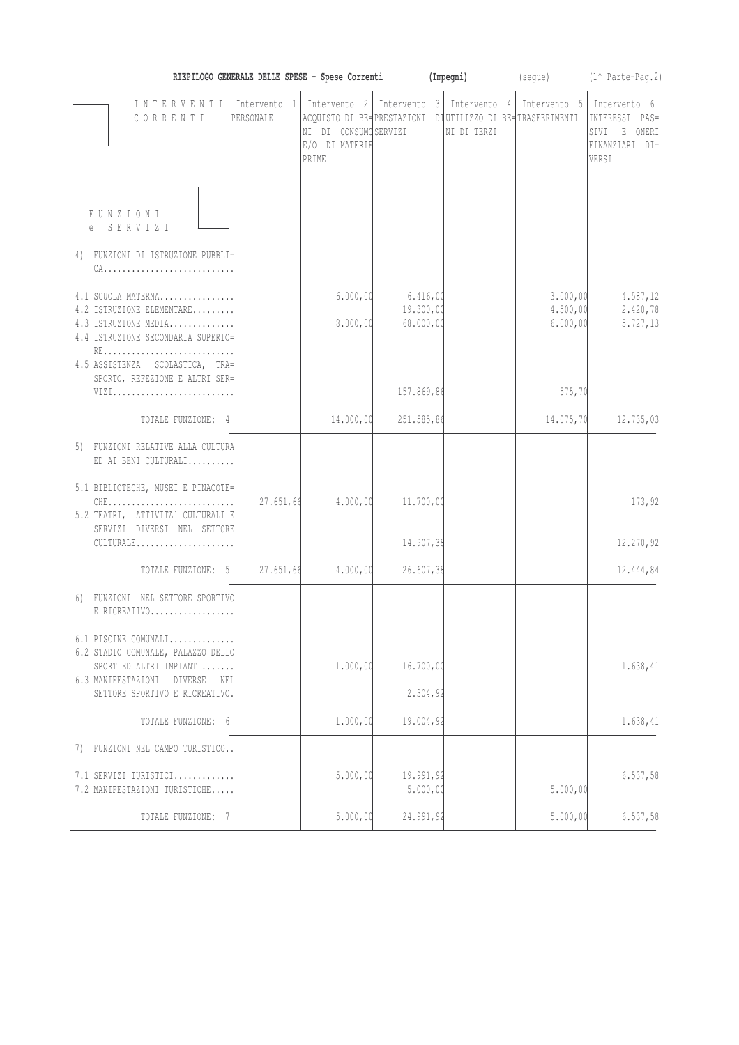| RIEPILOGO GENERALE DELLE SPESE - Spese Correnti                        |                           | (Impegni)                                                                   | (segue)                | (1^ Parte-Pag.2)                                                                           |                      |                                                                              |
|------------------------------------------------------------------------|---------------------------|-----------------------------------------------------------------------------|------------------------|--------------------------------------------------------------------------------------------|----------------------|------------------------------------------------------------------------------|
| INTERVENTI<br>$C 0 R R E N T I$<br><b>FUNZIONI</b><br>e SERVIZI        | Intervento 1<br>PERSONALE | Intervento <sub>2</sub><br>NI DI CONSUMO SERVIZI<br>E/O DI MATERIE<br>PRIME | Intervento 3           | Intervento 4<br>ACQUISTO DI BE= PRESTAZIONI DIUTILIZZO DI BE= TRASFERIMENTI<br>NI DI TERZI | Intervento 5         | Intervento 6<br>INTERESSI PAS=<br>SIVI<br>E ONERI<br>FINANZIARI DI=<br>VERSI |
| 4) FUNZIONI DI ISTRUZIONE PUBBLI=                                      |                           |                                                                             |                        |                                                                                            |                      |                                                                              |
| $CA.$                                                                  |                           |                                                                             |                        |                                                                                            |                      |                                                                              |
| $4.1$ SCUOLA MATERNA                                                   |                           | 6.000,00                                                                    | 6.416,00               |                                                                                            | 3.000,00             | 4.587,12                                                                     |
| 4.2 ISTRUZIONE ELEMENTARE<br>4.3 ISTRUZIONE MEDIA                      |                           | 8.000,00                                                                    | 19.300,00<br>68.000,00 |                                                                                            | 4.500,00<br>6.000,00 | 2.420,78<br>5.727,13                                                         |
| 4.4 ISTRUZIONE SECONDARIA SUPERIO=                                     |                           |                                                                             |                        |                                                                                            |                      |                                                                              |
| 4.5 ASSISTENZA SCOLASTICA, TRA=                                        |                           |                                                                             |                        |                                                                                            |                      |                                                                              |
| SPORTO, REFEZIONE E ALTRI SER=<br>VIZI                                 |                           |                                                                             | 157.869,86             |                                                                                            | 575,70               |                                                                              |
| TOTALE FUNZIONE:                                                       |                           | 14.000,00                                                                   | 251.585,86             |                                                                                            | 14.075,70            | 12.735,03                                                                    |
| 5) FUNZIONI RELATIVE ALLA CULTURA<br>ED AI BENI CULTURALI              |                           |                                                                             |                        |                                                                                            |                      |                                                                              |
| 5.1 BIBLIOTECHE, MUSEI E PINACOTE=                                     |                           |                                                                             |                        |                                                                                            |                      |                                                                              |
| 5.2 TEATRI, ATTIVITA` CULTURALI E                                      | 27.651,66                 |                                                                             | $4.000,00$ $11.700,00$ |                                                                                            |                      | 173,92                                                                       |
| SERVIZI DIVERSI NEL SETTORE                                            |                           |                                                                             |                        |                                                                                            |                      |                                                                              |
| CULTURALE                                                              |                           |                                                                             | 14.907,38              |                                                                                            |                      | 12.270,92                                                                    |
| TOTALE FUNZIONE: 5                                                     | 27.651,66                 | 4.000,00                                                                    | 26.607,38              |                                                                                            |                      | 12.444,84                                                                    |
| 6) FUNZIONI NEL SETTORE SPORTIVO<br>E RICREATIVO                       |                           |                                                                             |                        |                                                                                            |                      |                                                                              |
| $6.1$ PISCINE COMUNALI                                                 |                           |                                                                             |                        |                                                                                            |                      |                                                                              |
| 6.2 STADIO COMUNALE, PALAZZO DELIO<br>SPORT ED ALTRI IMPIANTI          |                           | 1.000,00                                                                    | 16.700,00              |                                                                                            |                      | 1.638, 41                                                                    |
| 6.3 MANIFESTAZIONI<br>DIVERSE<br>NEL<br>SETTORE SPORTIVO E RICREATIVO. |                           |                                                                             | 2.304,92               |                                                                                            |                      |                                                                              |
|                                                                        |                           |                                                                             |                        |                                                                                            |                      |                                                                              |
| TOTALE FUNZIONE:                                                       |                           | 1.000,00                                                                    | 19.004,92              |                                                                                            |                      | 1.638,41                                                                     |
| FUNZIONI NEL CAMPO TURISTICO<br>7)                                     |                           |                                                                             |                        |                                                                                            |                      |                                                                              |
| $7.1$ SERVIZI TURISTICI                                                |                           | 5.000,00                                                                    | 19.991,92              |                                                                                            |                      | 6.537,58                                                                     |
| 7.2 MANIFESTAZIONI TURISTICHE                                          |                           |                                                                             | 5.000,00               |                                                                                            | 5.000,00             |                                                                              |
| TOTALE FUNZIONE:                                                       |                           | 5.000,00                                                                    | 24.991,92              |                                                                                            | 5.000,00             | 6.537,58                                                                     |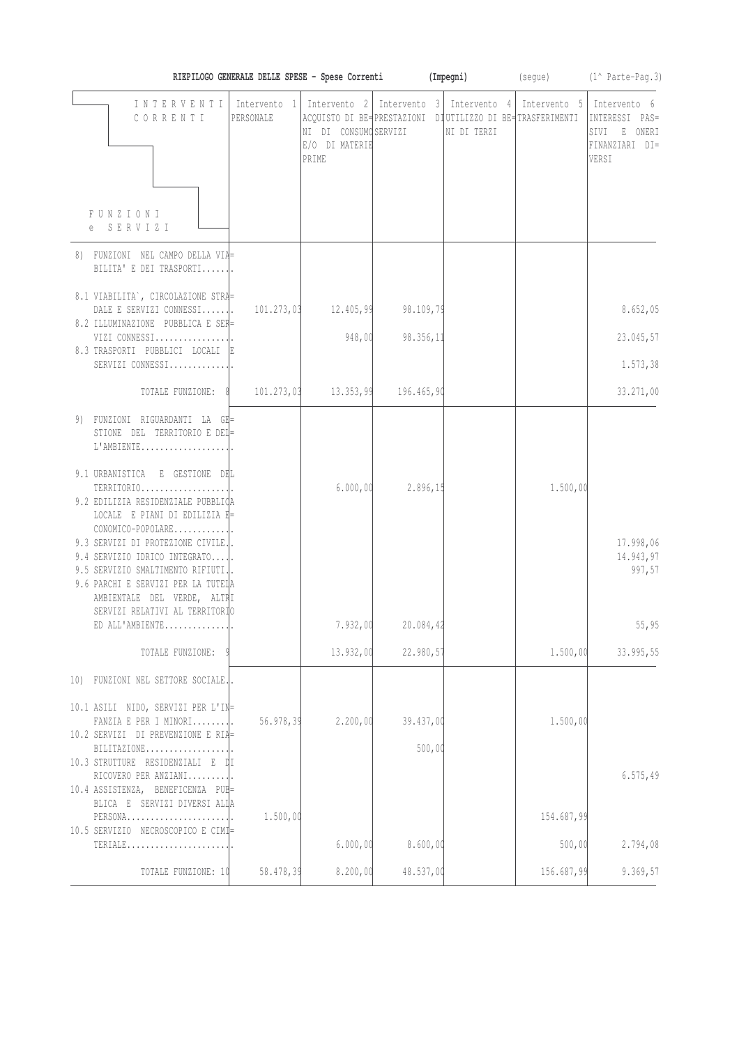|                                                                                                                                                                              | RIEPILOGO GENERALE DELLE SPESE - Spese Correnti |                                                  |            | (Impegni)                                                                                                                  |            | (segue) (1^ Parte-Pag.3)                                                               |
|------------------------------------------------------------------------------------------------------------------------------------------------------------------------------|-------------------------------------------------|--------------------------------------------------|------------|----------------------------------------------------------------------------------------------------------------------------|------------|----------------------------------------------------------------------------------------|
| INTERVENTI<br>CORRENTI                                                                                                                                                       | Intervento 1<br>PERSONALE                       | NI DI CONSUMO SERVIZI<br>E/O DI MATERIE<br>PRIME |            | Intervento 2   Intervento 3   Intervento 4  <br>ACQUISTO DI BE= PRESTAZIONI DIUTILIZZO DI BE= TRASFERIMENTI<br>NI DI TERZI |            | Intervento 5 Intervento 6<br>INTERESSI PAS=<br>SIVI E ONERI<br>FINANZIARI DI=<br>VERSI |
| FUNZIONI<br>e SERVIZI                                                                                                                                                        |                                                 |                                                  |            |                                                                                                                            |            |                                                                                        |
| 8) FUNZIONI NEL CAMPO DELLA VIA=<br>BILITA' E DEI TRASPORTI                                                                                                                  |                                                 |                                                  |            |                                                                                                                            |            |                                                                                        |
| 8.1 VIABILITA', CIRCOLAZIONE STRA=<br>DALE E SERVIZI CONNESSI<br>8.2 ILLUMINAZIONE PUBBLICA E SER=                                                                           | 101.273,03                                      | 12.405,99                                        | 98.109,79  |                                                                                                                            |            | 8.652,05                                                                               |
| VIZI CONNESSI                                                                                                                                                                |                                                 | 948,00                                           | 98.356,11  |                                                                                                                            |            | 23.045,57                                                                              |
| 8.3 TRASPORTI PUBBLICI LOCALI E<br>SERVIZI CONNESSI                                                                                                                          |                                                 |                                                  |            |                                                                                                                            |            | 1.573,38                                                                               |
| TOTALE FUNZIONE: 8                                                                                                                                                           | 101.273,03                                      | 13.353,99                                        | 196.465,90 |                                                                                                                            |            | 33.271,00                                                                              |
| 9) FUNZIONI RIGUARDANTI LA GE=<br>STIONE DEL TERRITORIO E DEL=<br>$L'AMBIENTE$                                                                                               |                                                 |                                                  |            |                                                                                                                            |            |                                                                                        |
| 9.1 URBANISTICA E GESTIONE DEL<br>TERRITORIO<br>9.2 EDILIZIA RESIDENZIALE PUBBLICA<br>LOCALE E PIANI DI EDILIZIA E=                                                          |                                                 | 6.000,00                                         | 2.896,15   |                                                                                                                            | 1.500,00   |                                                                                        |
| 9.3 SERVIZI DI PROTEZIONE CIVILE.<br>9.4 SERVIZIO IDRICO INTEGRATO<br>9.5 SERVIZIO SMALTIMENTO RIFIUTI.<br>9.6 PARCHI E SERVIZI PER LA TUTELA<br>AMBIENTALE DEL VERDE, ALTRI |                                                 |                                                  |            |                                                                                                                            |            | 17.998,06<br>14.943,97<br>997,57                                                       |
| SERVIZI RELATIVI AL TERRITORIO<br>ED ALL'AMBIENTE                                                                                                                            |                                                 | 7.932,00                                         | 20.084,42  |                                                                                                                            |            | 55,95                                                                                  |
| TOTALE FUNZIONE:                                                                                                                                                             |                                                 | 13.932,00                                        | 22.980,57  |                                                                                                                            | 1.500,00   | 33.995,55                                                                              |
| 10) FUNZIONI NEL SETTORE SOCIALE.                                                                                                                                            |                                                 |                                                  |            |                                                                                                                            |            |                                                                                        |
| 10.1 ASILI NIDO, SERVIZI PER L'IN=                                                                                                                                           |                                                 |                                                  |            |                                                                                                                            |            |                                                                                        |
| FANZIA E PER I MINORI                                                                                                                                                        | 56.978,39                                       | 2.200,00                                         | 39.437,00  |                                                                                                                            | 1.500,00   |                                                                                        |
| 10.2 SERVIZI DI PREVENZIONE E RIA=<br>BILITAZIONE                                                                                                                            |                                                 |                                                  | 500,00     |                                                                                                                            |            |                                                                                        |
| 10.3 STRUTTURE RESIDENZIALI E DI<br>RICOVERO PER ANZIANI<br>10.4 ASSISTENZA, BENEFICENZA PUB=                                                                                |                                                 |                                                  |            |                                                                                                                            |            | 6.575,49                                                                               |
| BLICA E SERVIZI DIVERSI ALIA                                                                                                                                                 | 1.500,00                                        |                                                  |            |                                                                                                                            | 154.687,99 |                                                                                        |
| 10.5 SERVIZIO NECROSCOPICO E CIMI=<br>TERIALE                                                                                                                                |                                                 | 6.000,00                                         | 8.600,00   |                                                                                                                            | 500,00     | 2.794,08                                                                               |
| TOTALE FUNZIONE: 10                                                                                                                                                          | 58.478,39                                       | 8.200,00                                         | 48.537,00  |                                                                                                                            | 156.687,99 | 9.369,57                                                                               |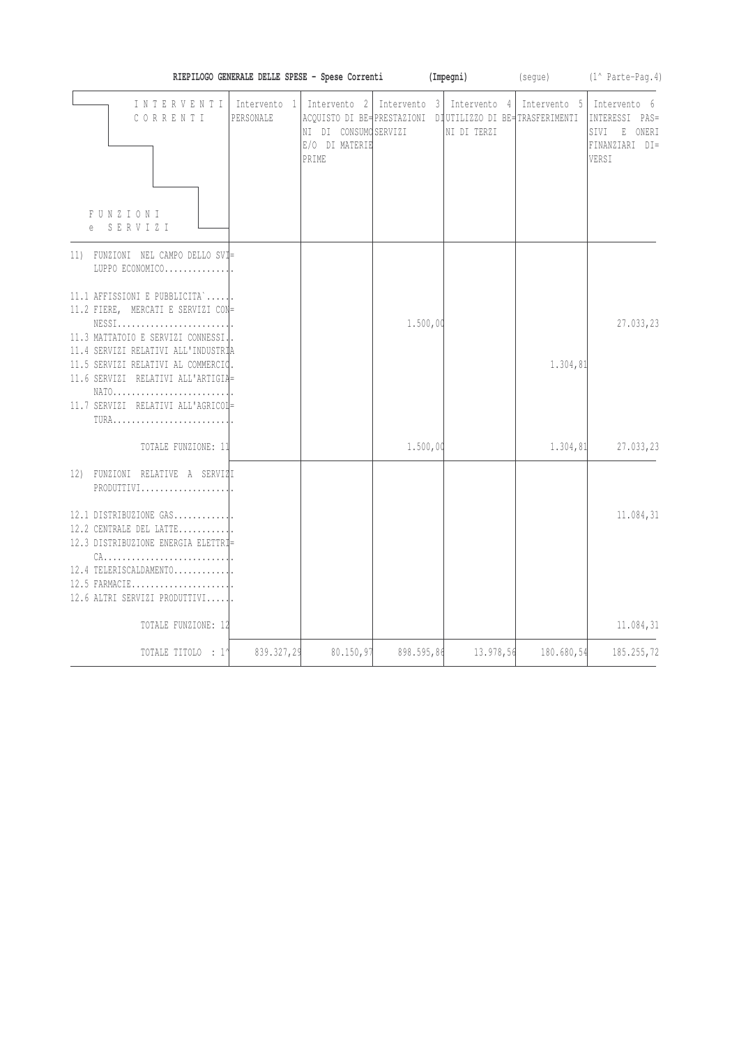|                                                                                                                                                                                                                                                                                                                                                   | RIEPILOGO GENERALE DELLE SPESE - Spese Correnti |                                                                             |              | (Impegni)                                                                                  | (segue)      | (1^ Parte-Pag.4)                                                                   |
|---------------------------------------------------------------------------------------------------------------------------------------------------------------------------------------------------------------------------------------------------------------------------------------------------------------------------------------------------|-------------------------------------------------|-----------------------------------------------------------------------------|--------------|--------------------------------------------------------------------------------------------|--------------|------------------------------------------------------------------------------------|
| INTERVENTI<br>CORRENTI<br>FUNZIONI<br>SERVIZI<br>$e -$                                                                                                                                                                                                                                                                                            | Intervento 1<br>PERSONALE                       | Intervento <sub>2</sub><br>NI DI CONSUMO SERVIZI<br>E/O DI MATERIE<br>PRIME | Intervento 3 | Intervento 4<br>ACQUISTO DI BE= PRESTAZIONI DIUTILIZZO DI BE= TRASFERIMENTI<br>NI DI TERZI | Intervento 5 | Intervento 6<br>INTERESSI<br>$PAS =$<br>SIVI<br>E ONERI<br>FINANZIARI DI=<br>VERSI |
| 11) FUNZIONI NEL CAMPO DELLO SVI=<br>LUPPO ECONOMICO                                                                                                                                                                                                                                                                                              |                                                 |                                                                             |              |                                                                                            |              |                                                                                    |
| 11.1 AFFISSIONI E PUBBLICITA`<br>11.2 FIERE, MERCATI E SERVIZI CON=<br>$NESS1, \ldots, \ldots, \ldots, \ldots, \ldots, \ldots,$<br>11.3 MATTATOIO E SERVIZI CONNESSI.<br>11.4 SERVIZI RELATIVI ALL'INDUSTRIA<br>11.5 SERVIZI RELATIVI AL COMMERCIO.<br>11.6 SERVIZI RELATIVI ALL'ARTIGIA=<br>$NATO$<br>11.7 SERVIZI RELATIVI ALL'AGRICOI=<br>TURA |                                                 |                                                                             | 1.500,00     |                                                                                            | 1.304,81     | 27.033,23                                                                          |
| TOTALE FUNZIONE: 11                                                                                                                                                                                                                                                                                                                               |                                                 |                                                                             | 1.500,00     |                                                                                            | 1.304,81     | 27.033,23                                                                          |
| 12) FUNZIONI RELATIVE A SERVIZI<br>PRODUTIIVI                                                                                                                                                                                                                                                                                                     |                                                 |                                                                             |              |                                                                                            |              |                                                                                    |
| 12.1 DISTRIBUZIONE GAS<br>12.2 CENTRALE DEL LATTE<br>12.3 DISTRIBUZIONE ENERGIA ELETTRI=<br>$CA.$<br>12.4 TELERISCALDAMENTO<br>12.6 ALTRI SERVIZI PRODUTTIVI<br>TOTALE FUNZIONE: 12                                                                                                                                                               |                                                 |                                                                             |              |                                                                                            |              | 11.084,31<br>11.084,31                                                             |
| TOTALE TITOLO : 11                                                                                                                                                                                                                                                                                                                                | 839.327,29                                      | 80.150,97                                                                   | 898.595,86   | 13.978,56                                                                                  | 180.680,54   | 185.255,72                                                                         |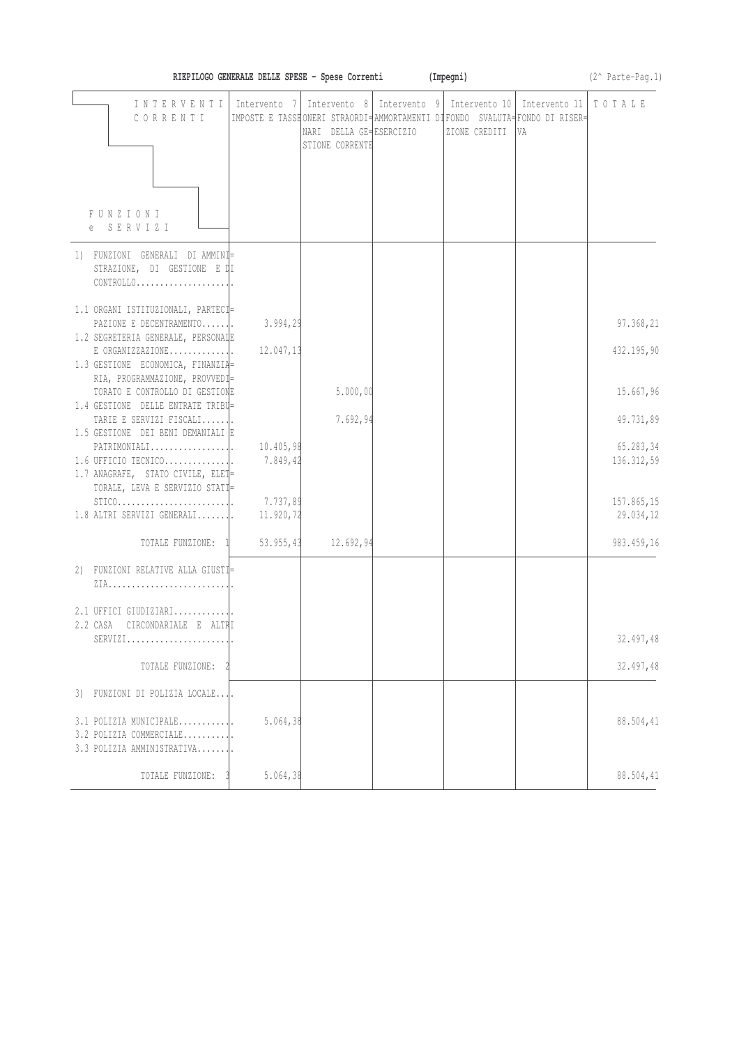|                                                                                                                                                   | RIEPILOGO GENERALE DELLE SPESE - Spese Correnti |                                            | (Impegni)                                                                                                                                       |                     | (2^ Parte-Pag.1)        |
|---------------------------------------------------------------------------------------------------------------------------------------------------|-------------------------------------------------|--------------------------------------------|-------------------------------------------------------------------------------------------------------------------------------------------------|---------------------|-------------------------|
| INTERVENTI<br>CORRENTI                                                                                                                            | Intervento 7                                    | NARI DELLA GE=ESERCIZIO<br>STIONE CORRENTE | Intervento 8   Intervento 9   Intervento 10  <br>IMPOSTE E TASSE ONERI STRAORDI= AMMORTAMENTI DIFONDO SVALUTA= FONDO DI RISER=<br>ZIONE CREDITI | Intervento 11<br>VA | TOTALE                  |
| FUNZIONI<br>e SERVIZI                                                                                                                             |                                                 |                                            |                                                                                                                                                 |                     |                         |
| 1) FUNZIONI GENERALI DI AMMINI=<br>STRAZIONE, DI GESTIONE E DI<br>CONTROLLO                                                                       |                                                 |                                            |                                                                                                                                                 |                     |                         |
| 1.1 ORGANI ISTITUZIONALI, PARTECI=<br>PAZIONE E DECENTRAMENTO                                                                                     | 3.994,29                                        |                                            |                                                                                                                                                 |                     | 97.368,21               |
| 1.2 SEGRETERIA GENERALE, PERSONALE<br>$E$ ORGANIZZAZIONE                                                                                          | 12.047,13                                       |                                            |                                                                                                                                                 |                     | 432.195,90              |
| 1.3 GESTIONE ECONOMICA, FINANZIA=                                                                                                                 |                                                 |                                            |                                                                                                                                                 |                     |                         |
| RIA, PROGRAMMAZIONE, PROVVEDI=<br>TORATO E CONTROLLO DI GESTIONE                                                                                  |                                                 | 5.000,00                                   |                                                                                                                                                 |                     | 15.667,96               |
| 1.4 GESTIONE DELLE ENTRATE TRIBU=<br>TARIE E SERVIZI FISCALI                                                                                      |                                                 | 7.692,94                                   |                                                                                                                                                 |                     | 49.731,89               |
| 1.5 GESTIONE DEI BENI DEMANIALI E<br>PATRIMONIALI<br>$1.6$ UFFICIO TECNICO<br>1.7 ANAGRAFE, STATO CIVILE, ELET=<br>TORALE, LEVA E SERVIZIO STATI= | 10.405,98<br>7.849,42                           |                                            |                                                                                                                                                 |                     | 65.283,34<br>136.312,59 |
| $1.8$ ALTRI SERVIZI GENERALI                                                                                                                      | 7.737,89<br>11.920,72                           |                                            |                                                                                                                                                 |                     | 157.865,15<br>29.034,12 |
| TOTALE FUNZIONE:                                                                                                                                  | 53.955,43                                       | 12.692,94                                  |                                                                                                                                                 |                     | 983.459,16              |
| 2) FUNZIONI RELATIVE ALLA GIUSTI=                                                                                                                 |                                                 |                                            |                                                                                                                                                 |                     |                         |
| 2.1 UFFICI GIUDIZIARI<br>CIRCONDARIALE E ALTRI<br>2.2 CASA<br>SERVIZI                                                                             |                                                 |                                            |                                                                                                                                                 |                     | 32.497,48               |
| TOTALE FUNZIONE:                                                                                                                                  |                                                 |                                            |                                                                                                                                                 |                     | 32.497,48               |
|                                                                                                                                                   |                                                 |                                            |                                                                                                                                                 |                     |                         |
| 3) FUNZIONI DI POLIZIA LOCALE                                                                                                                     |                                                 |                                            |                                                                                                                                                 |                     |                         |
| 3.1 POLIZIA MUNICIPALE<br>$3.2$ POLIZIA COMMERCIALE<br>3.3 POLIZIA AMMINISTRATIVA                                                                 | 5.064,38                                        |                                            |                                                                                                                                                 |                     | 88.504,41               |
| TOTALE FUNZIONE:                                                                                                                                  | 5.064,38                                        |                                            |                                                                                                                                                 |                     | 88.504,41               |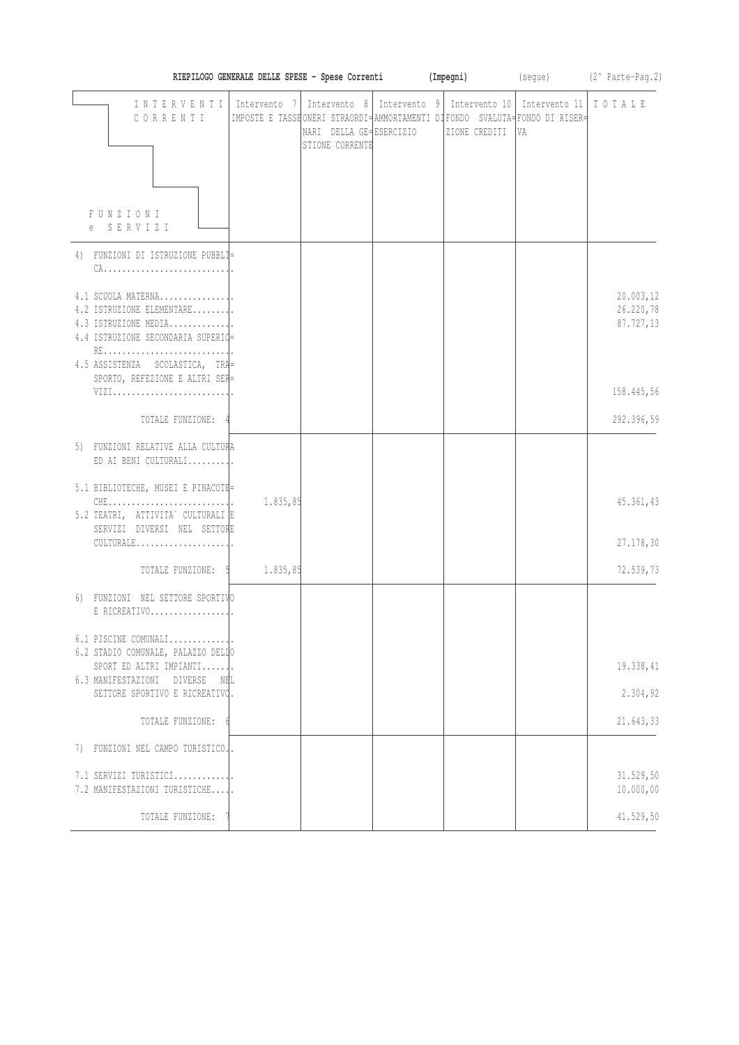|                                                                                                                                                                      | RIEPILOGO GENERALE DELLE SPESE - Spese Correnti |                                            | (Impegni)                                                                                                                                       |                     | (segue) (2^ Parte-Pag.2)                           |
|----------------------------------------------------------------------------------------------------------------------------------------------------------------------|-------------------------------------------------|--------------------------------------------|-------------------------------------------------------------------------------------------------------------------------------------------------|---------------------|----------------------------------------------------|
| INTERVENTI<br>CORRENTI<br><b>FUNZIONI</b><br>SERVIZI                                                                                                                 | Intervento 7                                    | NARI DELLA GE=ESERCIZIO<br>STIONE CORRENTE | Intervento 8   Intervento 9   Intervento 10  <br>IMPOSTE E TASSE ONERI STRAORDI= AMMORTAMENTI DIFONDO SVALUTA= FONDO DI RISER=<br>ZIONE CREDITI | Intervento 11<br>VA | TOTALE                                             |
| 4) FUNZIONI DI ISTRUZIONE PUBBLI=                                                                                                                                    |                                                 |                                            |                                                                                                                                                 |                     |                                                    |
|                                                                                                                                                                      |                                                 |                                            |                                                                                                                                                 |                     |                                                    |
| 4.2 ISTRUZIONE ELEMENTARE<br>4.3 ISTRUZIONE MEDIA<br>4.4 ISTRUZIONE SECONDARIA SUPERIQ=<br>4.5 ASSISTENZA SCOLASTICA, TRA=<br>SPORTO, REFEZIONE E ALTRI SER=<br>VIZI |                                                 |                                            |                                                                                                                                                 |                     | 20.003, 12<br>26.220,78<br>87.727,13<br>158.445,56 |
|                                                                                                                                                                      |                                                 |                                            |                                                                                                                                                 |                     |                                                    |
| TOTALE FUNZIONE:                                                                                                                                                     |                                                 |                                            |                                                                                                                                                 |                     | 292.396,59                                         |
| 5) FUNZIONI RELATIVE ALLA CULTURA<br>ED AI BENI CULTURALI                                                                                                            |                                                 |                                            |                                                                                                                                                 |                     |                                                    |
| 5.1 BIBLIOTECHE, MUSEI E PINACOTE=<br>5.2 TEATRI, ATTIVITA` CULTURALI E<br>SERVIZI DIVERSI NEL SETTORE<br>CULTURALE                                                  | 1.835,85                                        |                                            |                                                                                                                                                 |                     | 45.361,43<br>27.178, 30                            |
|                                                                                                                                                                      |                                                 |                                            |                                                                                                                                                 |                     |                                                    |
| TOTALE FUNZIONE: 5                                                                                                                                                   | 1.835,85                                        |                                            |                                                                                                                                                 |                     | 72.539,73                                          |
| 6) FUNZIONI NEL SETTORE SPORTIVO<br>$E$ RICREATIVO                                                                                                                   |                                                 |                                            |                                                                                                                                                 |                     |                                                    |
| $6.1$ PISCINE COMUNALI<br>6.2 STADIO COMUNALE, PALAZZO DELIO                                                                                                         |                                                 |                                            |                                                                                                                                                 |                     |                                                    |
| SPORT ED ALTRI IMPIANTI                                                                                                                                              |                                                 |                                            |                                                                                                                                                 |                     | 19.338,41                                          |
| 6.3 MANIFESTAZIONI DIVERSE<br>NEL<br>SETTORE SPORTIVO E RICREATIVO.                                                                                                  |                                                 |                                            |                                                                                                                                                 |                     | 2.304,92                                           |
| TOTALE FUNZIONE:                                                                                                                                                     |                                                 |                                            |                                                                                                                                                 |                     | 21.643,33                                          |
| 7) FUNZIONI NEL CAMPO TURISTICO                                                                                                                                      |                                                 |                                            |                                                                                                                                                 |                     |                                                    |
| 7.1 SERVIZI TURISTICI<br>7.2 MANIFESTAZIONI TURISTICHE                                                                                                               |                                                 |                                            |                                                                                                                                                 |                     | 31.529, 50<br>10.000,00                            |
| TOTALE FUNZIONE:                                                                                                                                                     |                                                 |                                            |                                                                                                                                                 |                     | 41.529,50                                          |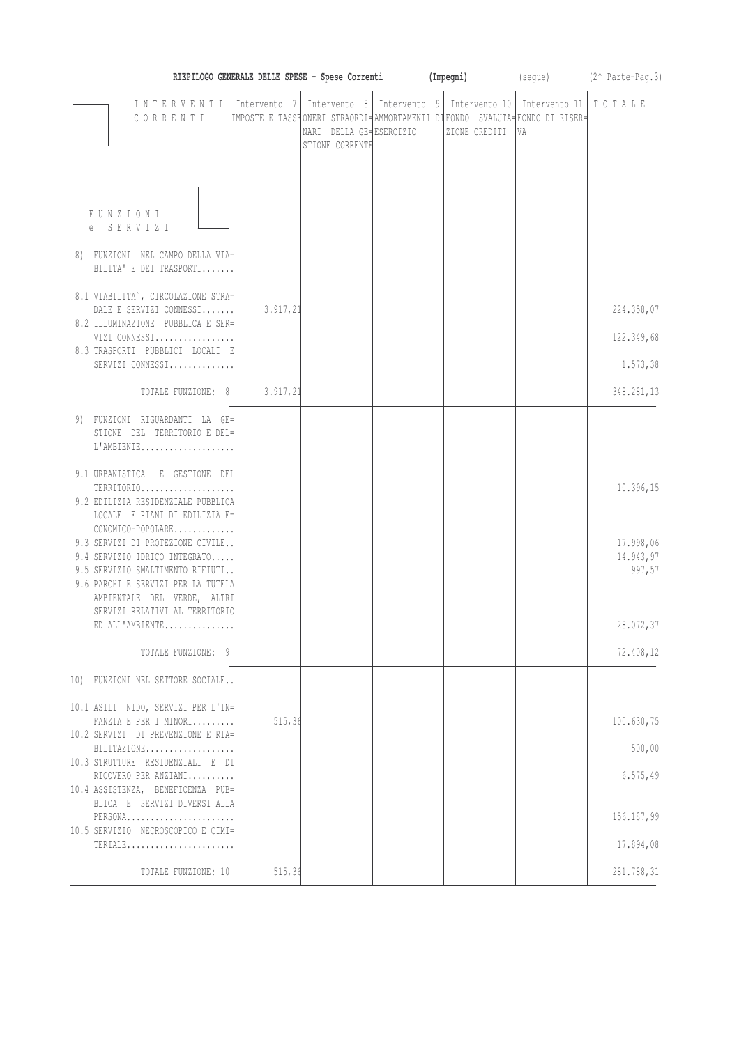|                                                                                                                                                                                                                                     | RIEPILOGO GENERALE DELLE SPESE - Spese Correnti |                                            | (Impegni)     | (segue) (2^ Parte-Pag.3)                                                                                                                                                       |                                  |
|-------------------------------------------------------------------------------------------------------------------------------------------------------------------------------------------------------------------------------------|-------------------------------------------------|--------------------------------------------|---------------|--------------------------------------------------------------------------------------------------------------------------------------------------------------------------------|----------------------------------|
| CORRENTI                                                                                                                                                                                                                            |                                                 | NARI DELLA GE=ESERCIZIO<br>STIONE CORRENTE | ZIONE CREDITI | INTERVENTI   Intervento 7   Intervento 8   Intervento 9   Intervento 10   Intervento 11  <br>IMPOSTE E TASSE ONERI STRAORDI AMMORTAMENTI DIFONDO SVALUTA FONDO DI RISER-<br>VA | TOTALE                           |
| FUNZIONI<br>e SERVIZI                                                                                                                                                                                                               |                                                 |                                            |               |                                                                                                                                                                                |                                  |
| 8) FUNZIONI NEL CAMPO DELLA VIA=<br>BILITA' E DEI TRASPORTI                                                                                                                                                                         |                                                 |                                            |               |                                                                                                                                                                                |                                  |
| 8.1 VIABILITA', CIRCOLAZIONE STRA=<br>DALE E SERVIZI CONNESSI<br>8.2 ILLUMINAZIONE PUBBLICA E SER=                                                                                                                                  | 3.917,21                                        |                                            |               |                                                                                                                                                                                | 224.358,07                       |
| VIZI CONNESSI                                                                                                                                                                                                                       |                                                 |                                            |               |                                                                                                                                                                                | 122.349,68                       |
| 8.3 TRASPORTI PUBBLICI LOCALI E<br>SERVIZI CONNESSI                                                                                                                                                                                 |                                                 |                                            |               |                                                                                                                                                                                | 1.573,38                         |
| TOTALE FUNZIONE: 8                                                                                                                                                                                                                  | 3.917, 21                                       |                                            |               |                                                                                                                                                                                | 348.281,13                       |
| 9) FUNZIONI RIGUARDANTI LA GE=<br>STIONE DEL TERRITORIO E DEL=                                                                                                                                                                      |                                                 |                                            |               |                                                                                                                                                                                |                                  |
| 9.1 URBANISTICA E GESTIONE DEL<br>TERRITORIO<br>9.2 EDILIZIA RESIDENZIALE PUBBLICA<br>LOCALE E PIANI DI EDILIZIA E=                                                                                                                 |                                                 |                                            |               |                                                                                                                                                                                | 10.396, 15                       |
| CONOMICO-POPOLARE<br>9.3 SERVIZI DI PROTEZIONE CIVILE.<br>9.4 SERVIZIO IDRICO INTEGRATO<br>9.5 SERVIZIO SMALTIMENTO RIFIUTI.<br>9.6 PARCHI E SERVIZI PER LA TUTELA<br>AMBIENTALE DEL VERDE, ALTRI<br>SERVIZI RELATIVI AL TERRITORIO |                                                 |                                            |               |                                                                                                                                                                                | 17.998,06<br>14.943,97<br>997,57 |
| ED ALL'AMBIENTE                                                                                                                                                                                                                     |                                                 |                                            |               |                                                                                                                                                                                | 28.072,37                        |
| TOTALE FUNZIONE:                                                                                                                                                                                                                    |                                                 |                                            |               |                                                                                                                                                                                | 72.408,12                        |
| 10) FUNZIONI NEL SETTORE SOCIALE.                                                                                                                                                                                                   |                                                 |                                            |               |                                                                                                                                                                                |                                  |
| 10.1 ASILI NIDO, SERVIZI PER L'IN=<br>FANZIA E PER I MINORI                                                                                                                                                                         | 515,36                                          |                                            |               |                                                                                                                                                                                | 100.630,75                       |
| 10.2 SERVIZI DI PREVENZIONE E RIA=                                                                                                                                                                                                  |                                                 |                                            |               |                                                                                                                                                                                |                                  |
| 10.3 STRUTTURE RESIDENZIALI E DI                                                                                                                                                                                                    |                                                 |                                            |               |                                                                                                                                                                                | 500,00                           |
| RICOVERO PER ANZIANI<br>10.4 ASSISTENZA, BENEFICENZA PUB=                                                                                                                                                                           |                                                 |                                            |               |                                                                                                                                                                                | 6.575,49                         |
| BLICA E SERVIZI DIVERSI ALLA                                                                                                                                                                                                        |                                                 |                                            |               |                                                                                                                                                                                | 156.187,99                       |
| 10.5 SERVIZIO NECROSCOPICO E CIMI=<br>TERIALE                                                                                                                                                                                       |                                                 |                                            |               |                                                                                                                                                                                | 17.894,08                        |
| TOTALE FUNZIONE: 10                                                                                                                                                                                                                 | 515,36                                          |                                            |               |                                                                                                                                                                                | 281.788,31                       |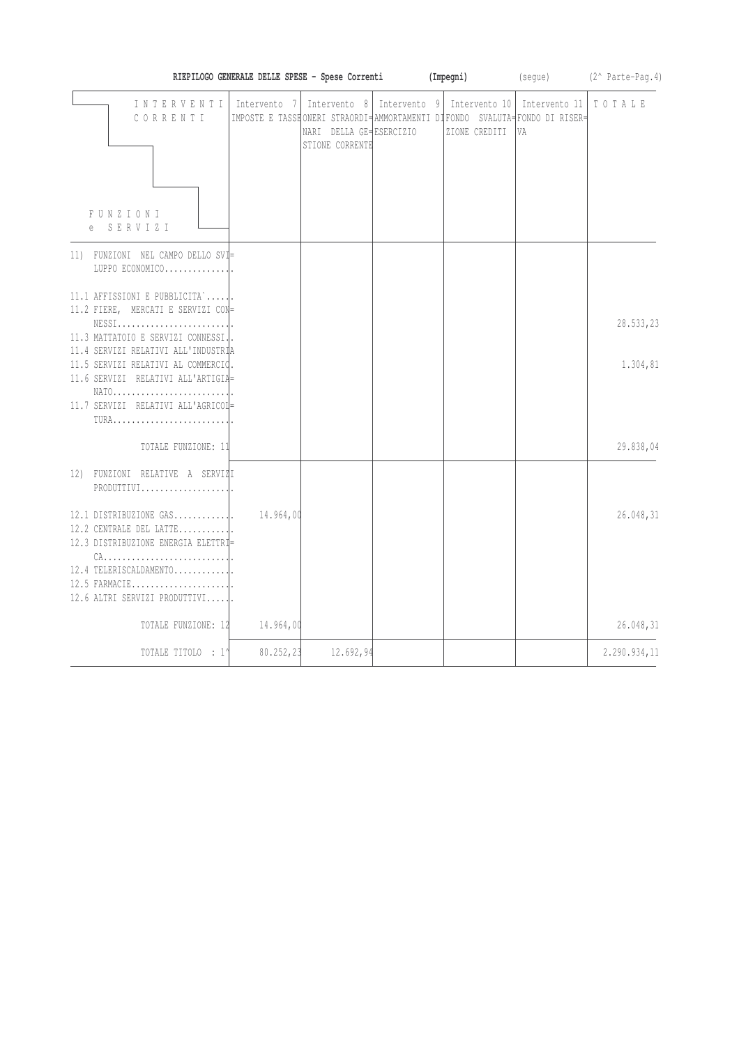|                                                                                                                                                                                                                                                                                                                                        | RIEPILOGO GENERALE DELLE SPESE - Spese Correnti |                                                            |              | (Impegni)                      | (seque)                                                                                             | (2^ Parte-Pag.4)      |
|----------------------------------------------------------------------------------------------------------------------------------------------------------------------------------------------------------------------------------------------------------------------------------------------------------------------------------------|-------------------------------------------------|------------------------------------------------------------|--------------|--------------------------------|-----------------------------------------------------------------------------------------------------|-----------------------|
| INTERVENTI<br>CORRENTI<br>FUNZIONI<br>e SERVIZI                                                                                                                                                                                                                                                                                        | Intervento 7                                    | Intervento 8<br>NARI DELLA GE=ESERCIZIO<br>STIONE CORRENTE | Intervento 9 | Intervento 10<br>ZIONE CREDITI | Intervento 11<br>IMPOSTE E TASSEONERI STRAORDI= AMMORTAMENTI DIFONDO SVALUTA= FONDO DI RISER=<br>VA | TOTALE                |
| 11) FUNZIONI NEL CAMPO DELLO SVI=<br>LUPPO ECONOMICO                                                                                                                                                                                                                                                                                   |                                                 |                                                            |              |                                |                                                                                                     |                       |
| 11.1 AFFISSIONI E PUBBLICITA`<br>11.2 FIERE, MERCATI E SERVIZI CON=<br>$NESS1, \ldots, \ldots, \ldots, \ldots, \ldots, \ldots,$<br>11.3 MATTATOIO E SERVIZI CONNESSI.<br>11.4 SERVIZI RELATIVI ALL'INDUSTRIA<br>11.5 SERVIZI RELATIVI AL COMMERCIO.<br>11.6 SERVIZI RELATIVI ALL'ARTIGIA=<br>11.7 SERVIZI RELATIVI ALL'AGRICOL<br>TURA |                                                 |                                                            |              |                                |                                                                                                     | 28.533,23<br>1.304,81 |
| TOTALE FUNZIONE: 11                                                                                                                                                                                                                                                                                                                    |                                                 |                                                            |              |                                |                                                                                                     | 29.838,04             |
| 12) FUNZIONI RELATIVE A SERVIZI<br>PRODUTTIVI<br>12.1 DISTRIBUZIONE GAS<br>12.2 CENTRALE DEL LATTE<br>12.3 DISTRIBUZIONE ENERGIA ELETTRI=                                                                                                                                                                                              | 14.964,00                                       |                                                            |              |                                |                                                                                                     | 26.048,31             |
| $CA.$<br>12.4 TELERISCALDAMENTO<br>12.5 FARMACIE<br>12.6 ALTRI SERVIZI PRODUTTIVI                                                                                                                                                                                                                                                      |                                                 |                                                            |              |                                |                                                                                                     |                       |
| TOTALE FUNZIONE: 12                                                                                                                                                                                                                                                                                                                    | 14.964,00                                       |                                                            |              |                                |                                                                                                     | 26.048,31             |
| TOTALE TITOLO : 11                                                                                                                                                                                                                                                                                                                     | 80.252,23                                       | 12.692,94                                                  |              |                                |                                                                                                     | 2.290.934,11          |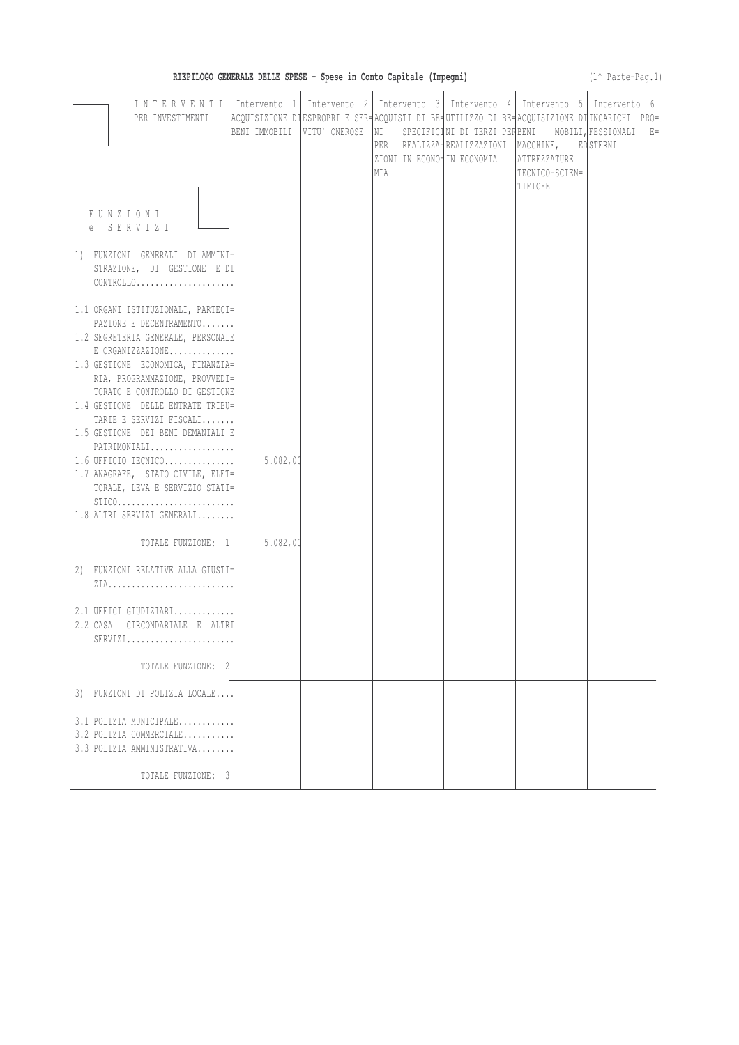$(1^{\wedge}$  Parte-Pag.1)

| INTERVENTI   Intervento 1   Intervento 2   Intervento 3   Intervento 4   Intervento 5   Intervento 6<br>PER INVESTIMENTI                                                                                                                                                                                                                                                                                                                                                |          | ZIONI IN ECONO‡IN ECONOMIA<br>MIA | PER REALIZZA=REALIZZAZIONI MACCHINE, EDSTERNI | ATTREZZATURE<br>TECNICO-SCIEN=<br>TIFICHE | ACQUISIZIONE DIESPROPRI E SER-ACQUISTI DI BE- UTILIZZO DI BE- ACQUISIZIONE DI INCARICHI PRO=<br>BENI IMMOBILI  VITU` ONEROSE  NI SPECIFICINI DI TERZI PERBENI MOBILI, FESSIONALI E= |
|-------------------------------------------------------------------------------------------------------------------------------------------------------------------------------------------------------------------------------------------------------------------------------------------------------------------------------------------------------------------------------------------------------------------------------------------------------------------------|----------|-----------------------------------|-----------------------------------------------|-------------------------------------------|-------------------------------------------------------------------------------------------------------------------------------------------------------------------------------------|
| FUNZIONI<br>e SERVIZI                                                                                                                                                                                                                                                                                                                                                                                                                                                   |          |                                   |                                               |                                           |                                                                                                                                                                                     |
| 1) FUNZIONI GENERALI DI AMMINI=<br>STRAZIONE, DI GESTIONE E DI<br>$CONTROLLO.$                                                                                                                                                                                                                                                                                                                                                                                          |          |                                   |                                               |                                           |                                                                                                                                                                                     |
| 1.1 ORGANI ISTITUZIONALI, PARTECI=<br>PAZIONE E DECENTRAMENTO<br>1.2 SEGRETERIA GENERALE, PERSONALE<br>$E$ ORGANIZZAZIONE<br>1.3 GESTIONE ECONOMICA, FINANZIA=<br>RIA, PROGRAMMAZIONE, PROVVEDI=<br>TORATO E CONTROLLO DI GESTIONE<br>1.4 GESTIONE DELLE ENTRATE TRIBU=<br>TARIE E SERVIZI FISCALI<br>1.5 GESTIONE DEI BENI DEMANIALI E<br>$1.6$ UFFICIO TECNICO<br>1.7 ANAGRAFE, STATO CIVILE, ELET=<br>TORALE, LEVA E SERVIZIO STATI=<br>$1.8$ ALTRI SERVIZI GENERALI | 5.082,00 |                                   |                                               |                                           |                                                                                                                                                                                     |
| TOTALE FUNZIONE: 1 5.082,00<br>2) FUNZIONI RELATIVE ALLA GIUSTI=                                                                                                                                                                                                                                                                                                                                                                                                        |          |                                   |                                               |                                           |                                                                                                                                                                                     |
| $2.1$ UFFICI GIUDIZIARI<br>2.2 CASA CIRCONDARIALE E ALTRI                                                                                                                                                                                                                                                                                                                                                                                                               |          |                                   |                                               |                                           |                                                                                                                                                                                     |
| TOTALE FUNZIONE:                                                                                                                                                                                                                                                                                                                                                                                                                                                        |          |                                   |                                               |                                           |                                                                                                                                                                                     |
| 3) FUNZIONI DI POLIZIA LOCALE                                                                                                                                                                                                                                                                                                                                                                                                                                           |          |                                   |                                               |                                           |                                                                                                                                                                                     |
| $3.1$ POLIZIA MUNICIPALE<br>$3.2$ POLIZIA COMMERCIALE<br>3.3 POLIZIA AMMINISTRATIVA                                                                                                                                                                                                                                                                                                                                                                                     |          |                                   |                                               |                                           |                                                                                                                                                                                     |
| TOTALE FUNZIONE:                                                                                                                                                                                                                                                                                                                                                                                                                                                        |          |                                   |                                               |                                           |                                                                                                                                                                                     |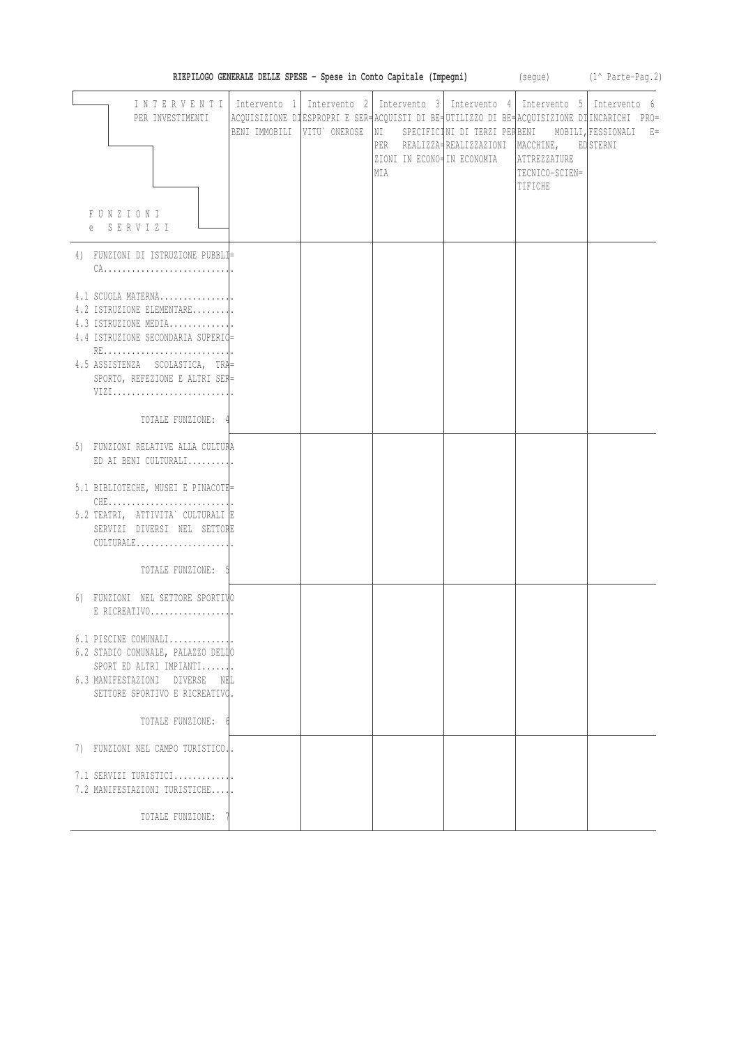|                                                                                                                 | RIEPILOGO GENERALE DELLE SPESE - Spese in Conto Capitale (Impegni) |                                   |                                                                                                                                           |                                           | (segue) (1^ Parte-Pag.2)                                                                                                                                                           |
|-----------------------------------------------------------------------------------------------------------------|--------------------------------------------------------------------|-----------------------------------|-------------------------------------------------------------------------------------------------------------------------------------------|-------------------------------------------|------------------------------------------------------------------------------------------------------------------------------------------------------------------------------------|
| INTERVENTI<br>PER INVESTIMENTI                                                                                  |                                                                    |                                   | Intervento 1   Intervento 2   Intervento 3   Intervento 4   Intervento 5   Intervento 6<br>PER REALIZZA=REALIZZAZIONI  MACCHINE, EDSTERNI |                                           | ACQUISIZIONE DIESPROPRI E SER-ACQUISTI DI BE- UTILIZZO DI BE- ACQUISIZIONE DIINCARICHI PRO=<br>BENI IMMOBILI  VITU` ONEROSE  NI SPECIFICINI DI TERZI PERBENI MOBILI, FESSIONALI E= |
| FUNZIONI                                                                                                        |                                                                    | ZIONI IN ECONO=IN ECONOMIA<br>MTA |                                                                                                                                           | ATTREZZATURE<br>TECNICO-SCIEN=<br>TIFICHE |                                                                                                                                                                                    |
| e SERVIZI                                                                                                       |                                                                    |                                   |                                                                                                                                           |                                           |                                                                                                                                                                                    |
| 4) FUNZIONI DI ISTRUZIONE PUBBLI=                                                                               |                                                                    |                                   |                                                                                                                                           |                                           |                                                                                                                                                                                    |
| $4.1$ SCUOLA MATERNA<br>4.2 ISTRUZIONE ELEMENTARE<br>4.3 ISTRUZIONE MEDIA<br>4.4 ISTRUZIONE SECONDARIA SUPERIQ= |                                                                    |                                   |                                                                                                                                           |                                           |                                                                                                                                                                                    |
| 4.5 ASSISTENZA SCOLASTICA, TRA=<br>SPORTO, REFEZIONE E ALTRI SER=<br>VIZI                                       |                                                                    |                                   |                                                                                                                                           |                                           |                                                                                                                                                                                    |
| TOTALE FUNZIONE: 4                                                                                              |                                                                    |                                   |                                                                                                                                           |                                           |                                                                                                                                                                                    |
| 5) FUNZIONI RELATIVE ALLA CULTURA<br>ED AI BENI CULTURALI                                                       |                                                                    |                                   |                                                                                                                                           |                                           |                                                                                                                                                                                    |
| 5.1 BIBLIOTECHE, MUSEI E PINACOTE=<br>5.2 TEATRI, ATTIVITA` CULTURALI E<br>SERVIZI DIVERSI NEL SETTORE          |                                                                    |                                   |                                                                                                                                           |                                           |                                                                                                                                                                                    |
| TOTALE FUNZIONE: 5                                                                                              |                                                                    |                                   |                                                                                                                                           |                                           |                                                                                                                                                                                    |
| 6) FUNZIONI NEL SETTORE SPORTIVO<br>$E$ RICREATIVO                                                              |                                                                    |                                   |                                                                                                                                           |                                           |                                                                                                                                                                                    |
| $6.1$ PISCINE COMUNALI<br>6.2 STADIO COMUNALE, PALAZZO DELIO<br>SPORT ED ALTRI IMPIANTI                         |                                                                    |                                   |                                                                                                                                           |                                           |                                                                                                                                                                                    |
| 6.3 MANIFESTAZIONI DIVERSE NEL<br>SETTORE SPORTIVO E RICREATIVO.                                                |                                                                    |                                   |                                                                                                                                           |                                           |                                                                                                                                                                                    |
| TOTALE FUNZIONE:                                                                                                |                                                                    |                                   |                                                                                                                                           |                                           |                                                                                                                                                                                    |
| 7) FUNZIONI NEL CAMPO TURISTICO.                                                                                |                                                                    |                                   |                                                                                                                                           |                                           |                                                                                                                                                                                    |
| $7.1$ SERVIZI TURISTICI<br>7.2 MANIFESTAZIONI TURISTICHE                                                        |                                                                    |                                   |                                                                                                                                           |                                           |                                                                                                                                                                                    |
| TOTALE FUNZIONE:                                                                                                |                                                                    |                                   |                                                                                                                                           |                                           |                                                                                                                                                                                    |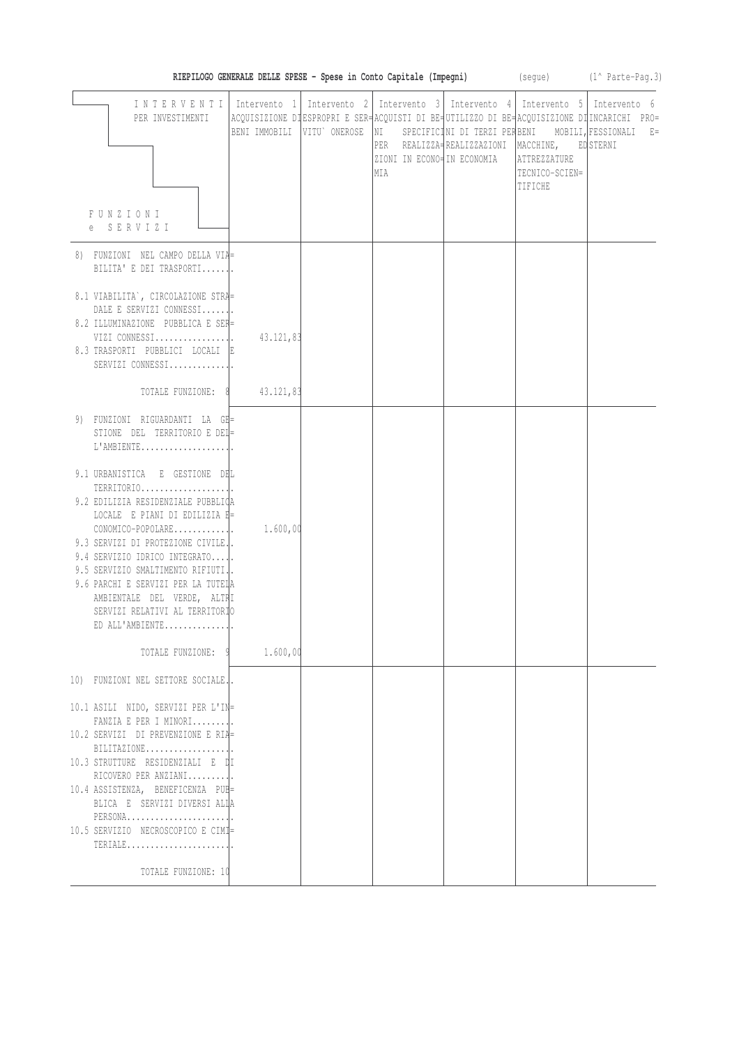| RIEPILOGO GENERALE DELLE SPESE - Spese in Conto Capitale (Impegni) (seque) (1^ Parte-Pag.3)                                                                                                                                                                                                                                                                                                                                                      |                      |  |                                   |  |                                                                                             |                                                                                                                                                                                     |  |
|--------------------------------------------------------------------------------------------------------------------------------------------------------------------------------------------------------------------------------------------------------------------------------------------------------------------------------------------------------------------------------------------------------------------------------------------------|----------------------|--|-----------------------------------|--|---------------------------------------------------------------------------------------------|-------------------------------------------------------------------------------------------------------------------------------------------------------------------------------------|--|
| INTERVENTI   Intervento 1   Intervento 2   Intervento 3   Intervento 4   Intervento 5   Intervento 6<br>PER INVESTIMENTI<br>FUNZIONI<br>e SERVIZI                                                                                                                                                                                                                                                                                                |                      |  | ZIONI IN ECONO‡IN ECONOMIA<br>MTA |  | PER REALIZZA=REALIZZAZIONI  MACCHINE, EDSTERNI<br>ATTREZZATURE<br>TECNICO-SCIEN=<br>TIFICHE | ACQUISIZIONE DIESPROPRI E SER- ACQUISTI DI BE- UTILIZZO DI BE- ACQUISIZIONE DI INCARICHI PRO=<br>BENI IMMOBILI VITU`ONEROSE   NI SPECIFICINI DI TERZI PERBENI MOBILI, FESSIONALI E= |  |
| 8) FUNZIONI NEL CAMPO DELLA VIA=<br>BILITA' E DEI TRASPORTI                                                                                                                                                                                                                                                                                                                                                                                      |                      |  |                                   |  |                                                                                             |                                                                                                                                                                                     |  |
| 8.1 VIABILITA', CIRCOLAZIONE STRA=<br>DALE E SERVIZI CONNESSI<br>8.2 ILLUMINAZIONE PUBBLICA E SER=<br>VIZI CONNESSI<br>8.3 TRASPORTI PUBBLICI LOCALI E<br>SERVIZI CONNESSI                                                                                                                                                                                                                                                                       | 43.121,83            |  |                                   |  |                                                                                             |                                                                                                                                                                                     |  |
| TOTALE FUNZIONE: 8                                                                                                                                                                                                                                                                                                                                                                                                                               | 43.121,83            |  |                                   |  |                                                                                             |                                                                                                                                                                                     |  |
| 9) FUNZIONI RIGUARDANTI LA GE=<br>STIONE DEL TERRITORIO E DEL-<br>9.1 URBANISTICA E GESTIONE DEL<br>TERRITORIO<br>9.2 EDILIZIA RESIDENZIALE PUBBLICA<br>LOCALE E PIANI DI EDILIZIA E=<br>9.3 SERVIZI DI PROTEZIONE CIVILE.<br>9.4 SERVIZIO IDRICO INTEGRATO<br>9.5 SERVIZIO SMALTIMENTO RIFIUTI.<br>9.6 PARCHI E SERVIZI PER LA TUTELA<br>AMBIENTALE DEL VERDE, ALTRI<br>SERVIZI RELATIVI AL TERRITORIO<br>ED ALL'AMBIENTE<br>TOTALE FUNZIONE: 9 | 1.600,00<br>1.600,00 |  |                                   |  |                                                                                             |                                                                                                                                                                                     |  |
| 10) FUNZIONI NEL SETTORE SOCIALE.                                                                                                                                                                                                                                                                                                                                                                                                                |                      |  |                                   |  |                                                                                             |                                                                                                                                                                                     |  |
| 10.1 ASILI NIDO, SERVIZI PER L'IN=<br>FANZIA E PER I MINORI<br>10.2 SERVIZI DI PREVENZIONE E RIA=<br>10.3 STRUTTURE RESIDENZIALI E DI<br>RICOVERO PER ANZIANI<br>10.4 ASSISTENZA, BENEFICENZA PUB=<br>BLICA E SERVIZI DIVERSI ALLA<br>10.5 SERVIZIO NECROSCOPICO E CIMI=<br>TERIALE<br>TOTALE FUNZIONE: 10                                                                                                                                       |                      |  |                                   |  |                                                                                             |                                                                                                                                                                                     |  |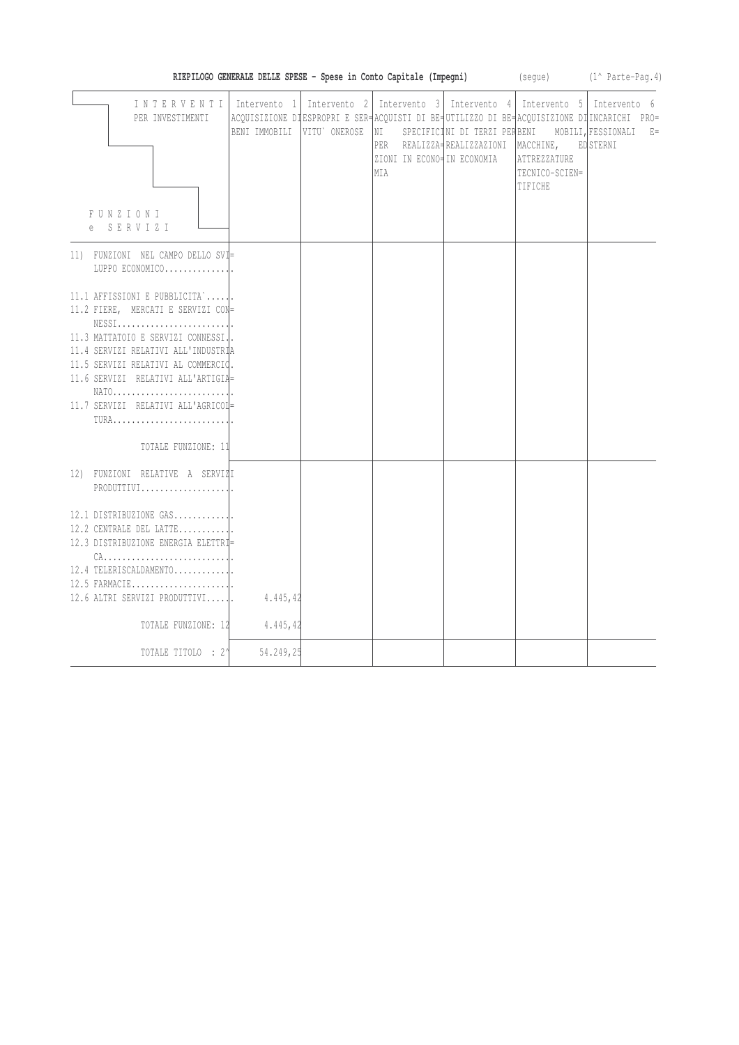| RIEPILOGO GENERALE DELLE SPESE - Spese in Conto Capitale (Impegni)                                                                                                                                                                                                                                                                                           | (segue)                                         | $(1^{\wedge}$ Parte-Pag. 4) |                                    |                                                                                                                                   |                                           |                                                                                                                                                 |
|--------------------------------------------------------------------------------------------------------------------------------------------------------------------------------------------------------------------------------------------------------------------------------------------------------------------------------------------------------------|-------------------------------------------------|-----------------------------|------------------------------------|-----------------------------------------------------------------------------------------------------------------------------------|-------------------------------------------|-------------------------------------------------------------------------------------------------------------------------------------------------|
| INTERVENTI<br>PER INVESTIMENTI<br><b>FUNZIONI</b><br>SERVIZI                                                                                                                                                                                                                                                                                                 | Intervento 1<br>BENI IMMOBILI VITU` ONEROSE  NI | Intervento <sub>2</sub>     | ZIONI IN ECONO= IN ECONOMIA<br>MIA | Intervento 3   Intervento 4   Intervento 5   Intervento 6<br>SPECIFICINI DI TERZI PERBENI<br>PER REALIZZA=REALIZZAZIONI MACCHINE, | ATTREZZATURE<br>TECNICO-SCIEN=<br>TIFICHE | ACQUISIZIONE DIESPROPRI E SER-ACQUISTI DI BE- UTILIZZO DI BE- ACQUISIZIONE DI INCARICHI PRO=<br>MOBILI, FESSIONALI<br>$E =$<br><b>ED STERNI</b> |
| 11) FUNZIONI NEL CAMPO DELLO SVI=<br>LUPPO ECONOMICO                                                                                                                                                                                                                                                                                                         |                                                 |                             |                                    |                                                                                                                                   |                                           |                                                                                                                                                 |
| 11.1 AFFISSIONI E PUBBLICITA $\dots$ .<br>11.2 FIERE, MERCATI E SERVIZI CON=<br>$NESS1.\ldots.\ldots.\ldots.\ldots.\ldots.$<br>11.3 MATTATOIO E SERVIZI CONNESSI.<br>11.4 SERVIZI RELATIVI ALL'INDUSTRIA<br>11.5 SERVIZI RELATIVI AL COMMERCIQ.<br>11.6 SERVIZI RELATIVI ALL'ARTIGIA=<br>$NATO$<br>11.7 SERVIZI RELATIVI ALL'AGRICOL-<br>TOTALE FUNZIONE: 11 |                                                 |                             |                                    |                                                                                                                                   |                                           |                                                                                                                                                 |
| 12) FUNZIONI RELATIVE A SERVIZI<br>PRODUTIIVI                                                                                                                                                                                                                                                                                                                |                                                 |                             |                                    |                                                                                                                                   |                                           |                                                                                                                                                 |
| 12.1 DISTRIBUZIONE GAS<br>12.2 CENTRALE DEL LATTE<br>12.3 DISTRIBUZIONE ENERGIA ELETTRI=<br>$CA.$<br>12.4 TELERISCALDAMENTO<br>12.6 ALTRI SERVIZI PRODUTTIVI<br>TOTALE FUNZIONE: 12                                                                                                                                                                          | 4.445,42<br>4.445,42                            |                             |                                    |                                                                                                                                   |                                           |                                                                                                                                                 |
| TOTALE TITOLO : 21                                                                                                                                                                                                                                                                                                                                           | 54.249,25                                       |                             |                                    |                                                                                                                                   |                                           |                                                                                                                                                 |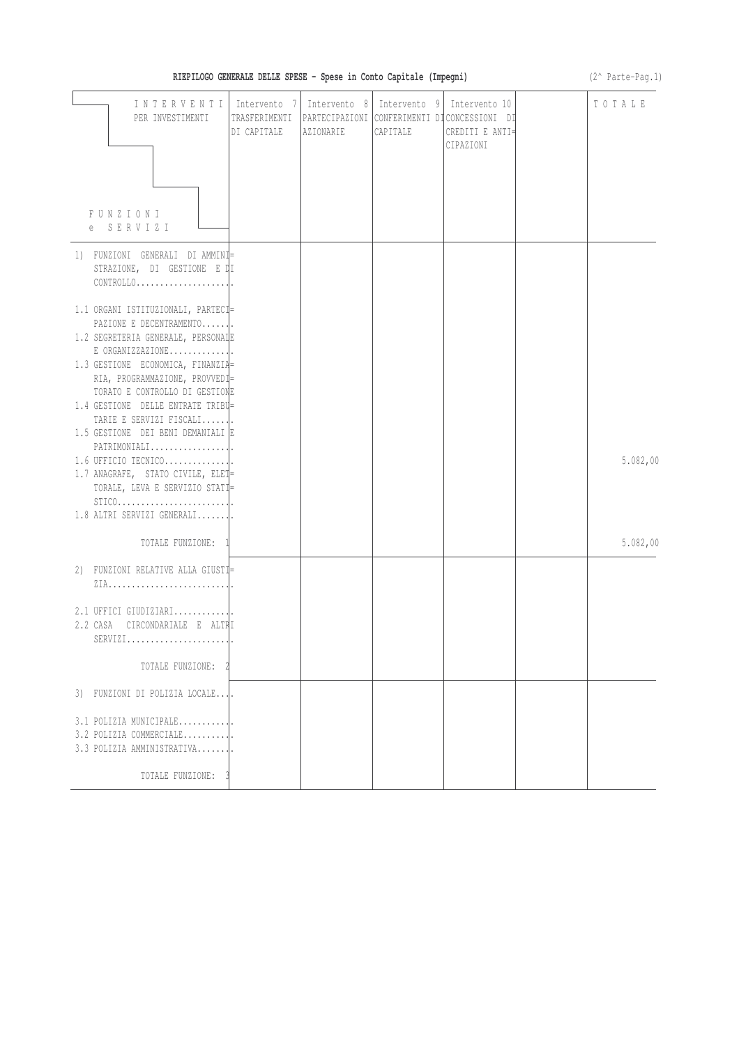|  | RIEPILOGO GENERALE DELLE SPESE - Spese in Conto Capitale (Impegni) |  |  |  |  |  |  |  |  |
|--|--------------------------------------------------------------------|--|--|--|--|--|--|--|--|
|--|--------------------------------------------------------------------|--|--|--|--|--|--|--|--|

**Cale (Impegni)**  $(2^{\wedge} \text{ Parte-Pag.1})$ 

| INTERVENTI<br>PER INVESTIMENTI<br><b>FUNZIONI</b><br>e SERVIZI                                                                                                                                                                                                                                                                                          | Intervento 7<br>DI CAPITALE | AZIONARIE | Intervento 8   Intervento 9   Intervento 10<br>CAPITALE | TRASFERIMENTI   PARTECIPAZIONI   CONFERIMENTI DI CONCESSIONI DI<br>CREDITI E ANTI=<br>CIPAZIONI | TOTALE   |
|---------------------------------------------------------------------------------------------------------------------------------------------------------------------------------------------------------------------------------------------------------------------------------------------------------------------------------------------------------|-----------------------------|-----------|---------------------------------------------------------|-------------------------------------------------------------------------------------------------|----------|
| 1) FUNZIONI GENERALI DI AMMINI=<br>STRAZIONE, DI GESTIONE E DI<br>$CONTROLLO.$  .                                                                                                                                                                                                                                                                       |                             |           |                                                         |                                                                                                 |          |
| 1.1 ORGANI ISTITUZIONALI, PARTECI=<br>PAZIONE E DECENTRAMENTO<br>1.2 SEGRETERIA GENERALE, PERSONALE<br>$E$ ORGANIZZAZIONE<br>1.3 GESTIONE ECONOMICA, FINANZIA=<br>RIA, PROGRAMMAZIONE, PROVVEDI=<br>TORATO E CONTROLLO DI GESTIONE<br>1.4 GESTIONE DELLE ENTRATE TRIBU=<br>TARIE E SERVIZI FISCALI<br>1.5 GESTIONE DEI BENI DEMANIALI E<br>PATRIMONIALI |                             |           |                                                         |                                                                                                 |          |
| $1.6$ UFFICIO TECNICO<br>1.7 ANAGRAFE, STATO CIVILE, ELET=<br>TORALE, LEVA E SERVIZIO STATI=                                                                                                                                                                                                                                                            |                             |           |                                                         |                                                                                                 | 5.082,00 |
| $1.8$ ALTRI SERVIZI GENERALI<br>TOTALE FUNZIONE: 1                                                                                                                                                                                                                                                                                                      |                             |           |                                                         |                                                                                                 | 5.082,00 |
| 2) FUNZIONI RELATIVE ALLA GIUSTI=                                                                                                                                                                                                                                                                                                                       |                             |           |                                                         |                                                                                                 |          |
| $2.1$ UFFICI GIUDIZIARI<br>2.2 CASA<br>CIRCONDARIALE E ALTRI                                                                                                                                                                                                                                                                                            |                             |           |                                                         |                                                                                                 |          |
| TOTALE FUNZIONE:                                                                                                                                                                                                                                                                                                                                        |                             |           |                                                         |                                                                                                 |          |
| 3) FUNZIONI DI POLIZIA LOCALE                                                                                                                                                                                                                                                                                                                           |                             |           |                                                         |                                                                                                 |          |
| $3.1$ POLIZIA MUNICIPALE<br>$3.2$ POLIZIA COMMERCIALE<br>3.3 POLIZIA AMMINISTRATIVA                                                                                                                                                                                                                                                                     |                             |           |                                                         |                                                                                                 |          |
| TOTALE FUNZIONE:                                                                                                                                                                                                                                                                                                                                        |                             |           |                                                         |                                                                                                 |          |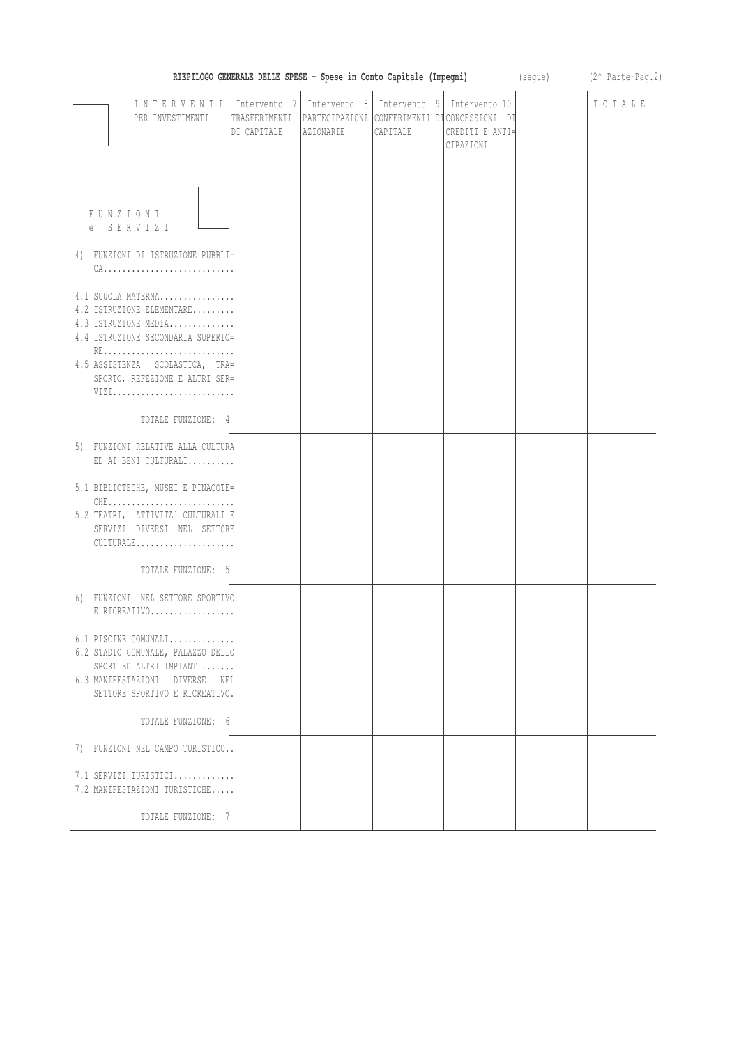| RIEPILOGO GENERALE DELLE SPESE - Spese in Conto Capitale (Impegni)<br>(segue)                                                                                                                |                                              |           |                                       |                                                                                               |  | (2^ Parte-Pag.2) |
|----------------------------------------------------------------------------------------------------------------------------------------------------------------------------------------------|----------------------------------------------|-----------|---------------------------------------|-----------------------------------------------------------------------------------------------|--|------------------|
| INTERVENTI<br>PER INVESTIMENTI<br>FUNZIONI<br>e SERVIZI                                                                                                                                      | Intervento 7<br>TRASFERIMENTI<br>DI CAPITALE | AZIONARIE | Intervento 8 Intervento 9<br>CAPITALE | Intervento 10<br>PARTECIPAZIONI CONFERIMENTI DICONCESSIONI DI<br>CREDITI E ANTI=<br>CIPAZIONI |  | TOTALE           |
|                                                                                                                                                                                              |                                              |           |                                       |                                                                                               |  |                  |
| 4) FUNZIONI DI ISTRUZIONE PUBBLI=                                                                                                                                                            |                                              |           |                                       |                                                                                               |  |                  |
| $4.1$ SCUOLA MATERNA<br>4.2 ISTRUZIONE ELEMENTARE<br>4.3 ISTRUZIONE MEDIA<br>4.4 ISTRUZIONE SECONDARIA SUPERIQ=<br>4.5 ASSISTENZA SCOLASTICA, TRA=<br>SPORTO, REFEZIONE E ALTRI SER=<br>VIZI |                                              |           |                                       |                                                                                               |  |                  |
| TOTALE FUNZIONE:                                                                                                                                                                             |                                              |           |                                       |                                                                                               |  |                  |
| 5) FUNZIONI RELATIVE ALLA CULTURA<br>ED AI BENI CULTURALI                                                                                                                                    |                                              |           |                                       |                                                                                               |  |                  |
| 5.1 BIBLIOTECHE, MUSEI E PINACOTE=                                                                                                                                                           |                                              |           |                                       |                                                                                               |  |                  |
| 5.2 TEATRI, ATTIVITA` CULTURALI E<br>SERVIZI DIVERSI NEL SETTORE<br>CULTURALE                                                                                                                |                                              |           |                                       |                                                                                               |  |                  |
| TOTALE FUNZIONE:                                                                                                                                                                             |                                              |           |                                       |                                                                                               |  |                  |
| 6) FUNZIONI NEL SETTORE SPORTIVO<br>$E$ RICREATIVO                                                                                                                                           |                                              |           |                                       |                                                                                               |  |                  |
| $6.1$ PISCINE COMUNALI<br>6.2 STADIO COMUNALE, PALAZZO DELIO<br>SPORT ED ALTRI IMPIANTI<br>6.3 MANIFESTAZIONI DIVERSE<br>NFL.<br>SETTORE SPORTIVO E RICREATIVO.                              |                                              |           |                                       |                                                                                               |  |                  |
| TOTALE FUNZIONE:                                                                                                                                                                             |                                              |           |                                       |                                                                                               |  |                  |
| 7) FUNZIONI NEL CAMPO TURISTICO.                                                                                                                                                             |                                              |           |                                       |                                                                                               |  |                  |
| $7.1$ SERVIZI TURISTICI<br>7.2 MANIFESTAZIONI TURISTICHE                                                                                                                                     |                                              |           |                                       |                                                                                               |  |                  |
| TOTALE FUNZIONE:                                                                                                                                                                             |                                              |           |                                       |                                                                                               |  |                  |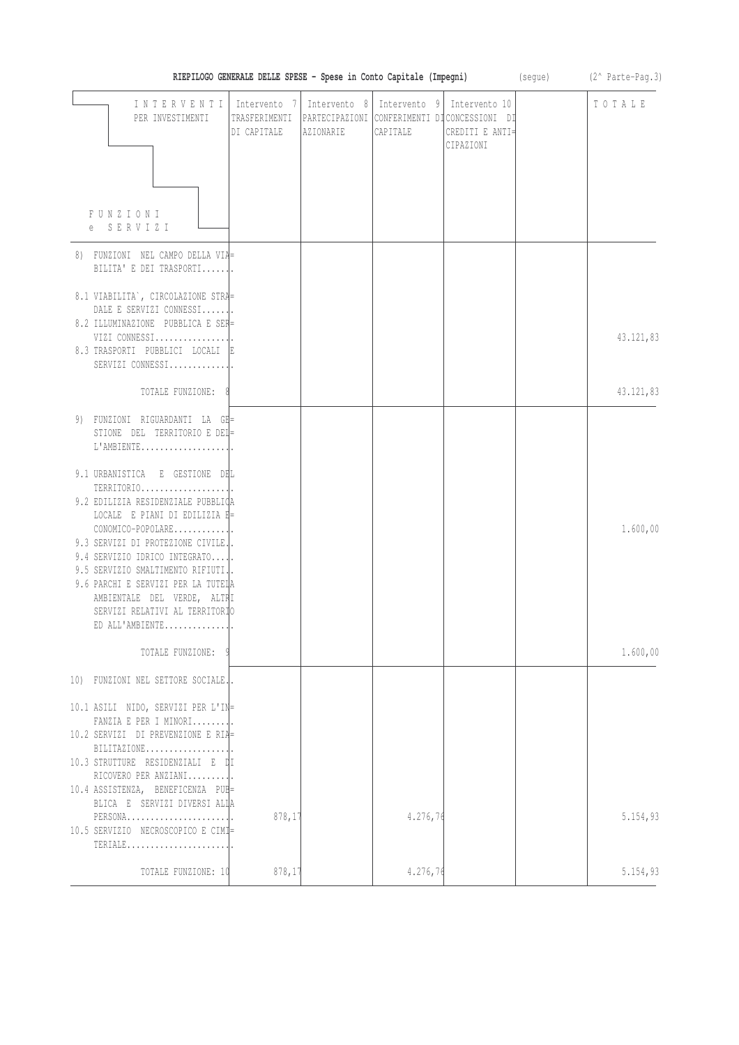| RIEPILOGO GENERALE DELLE SPESE - Spese in Conto Capitale (Impegni)                                                                                                                                                               | (segue)                                      | (2^ Parte-Pag.3)          |                          |                                                                                               |  |           |
|----------------------------------------------------------------------------------------------------------------------------------------------------------------------------------------------------------------------------------|----------------------------------------------|---------------------------|--------------------------|-----------------------------------------------------------------------------------------------|--|-----------|
| INTERVENTI<br>PER INVESTIMENTI                                                                                                                                                                                                   | Intervento 7<br>TRASFERIMENTI<br>DI CAPITALE | Intervento 8<br>AZIONARIE | Intervento 9<br>CAPITALE | Intervento 10<br>PARTECIPAZIONI CONFERIMENTI DICONCESSIONI DI<br>CREDITI E ANTI=<br>CIPAZIONI |  | TOTALE    |
| FUNZIONI<br>e SERVIZI                                                                                                                                                                                                            |                                              |                           |                          |                                                                                               |  |           |
| 8) FUNZIONI NEL CAMPO DELLA VIA=<br>BILITA' E DEI TRASPORTI                                                                                                                                                                      |                                              |                           |                          |                                                                                               |  |           |
| 8.1 VIABILITA', CIRCOLAZIONE STRA=<br>DALE E SERVIZI CONNESSI                                                                                                                                                                    |                                              |                           |                          |                                                                                               |  |           |
| 8.2 ILLUMINAZIONE PUBBLICA E SER=<br>VIZI CONNESSI<br>8.3 TRASPORTI PUBBLICI LOCALI E<br>SERVIZI CONNESSI                                                                                                                        |                                              |                           |                          |                                                                                               |  | 43.121,83 |
| TOTALE FUNZIONE:                                                                                                                                                                                                                 |                                              |                           |                          |                                                                                               |  | 43.121,83 |
| 9) FUNZIONI RIGUARDANTI LA GE=<br>STIONE DEL TERRITORIO E DEL=<br>L'AMBIENTE<br>9.1 URBANISTICA E GESTIONE DEL                                                                                                                   |                                              |                           |                          |                                                                                               |  |           |
| TERRITORIO<br>9.2 EDILIZIA RESIDENZIALE PUBBLICA<br>LOCALE E PIANI DI EDILIZIA E=                                                                                                                                                |                                              |                           |                          |                                                                                               |  | 1.600,00  |
| 9.3 SERVIZI DI PROTEZIONE CIVILE<br>9.4 SERVIZIO IDRICO INTEGRATO<br>9.5 SERVIZIO SMALTIMENTO RIFIUTI.<br>9.6 PARCHI E SERVIZI PER LA TUTELA<br>AMBIENTALE DEL VERDE, ALTRI<br>SERVIZI RELATIVI AL TERRITORIO<br>ED ALL'AMBIENTE |                                              |                           |                          |                                                                                               |  |           |
| TOTALE FUNZIONE:                                                                                                                                                                                                                 |                                              |                           |                          |                                                                                               |  | 1.600,00  |
| 10) FUNZIONI NEL SETTORE SOCIALE.                                                                                                                                                                                                |                                              |                           |                          |                                                                                               |  |           |
| 10.1 ASILI NIDO, SERVIZI PER L'IN=<br>FANZIA E PER I MINORI<br>10.2 SERVIZI DI PREVENZIONE E RIA=<br>10.3 STRUTTURE RESIDENZIALI E DI                                                                                            |                                              |                           |                          |                                                                                               |  |           |
| RICOVERO PER ANZIANI<br>10.4 ASSISTENZA, BENEFICENZA PUB=<br>BLICA E SERVIZI DIVERSI ALIA<br>10.5 SERVIZIO NECROSCOPICO E CIMI=<br>TERIALE                                                                                       | 878,17                                       |                           | 4.276,76                 |                                                                                               |  | 5.154,93  |
| TOTALE FUNZIONE: 10                                                                                                                                                                                                              | 878,17                                       |                           | 4.276,76                 |                                                                                               |  | 5.154,93  |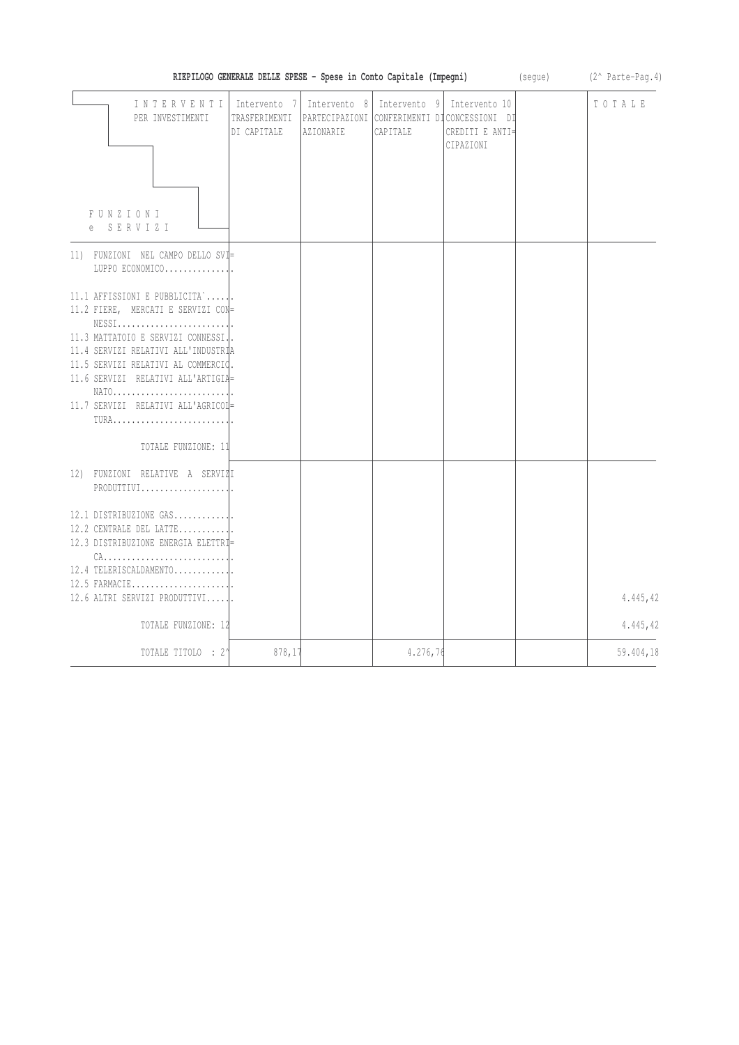| RIEPILOGO GENERALE DELLE SPESE - Spese in Conto Capitale (Impegni)<br>(segue)                                                                                                                                                                                                                             |                                              |                           |                          |                                                                                               |  | (2^ Parte-Pag.4)     |
|-----------------------------------------------------------------------------------------------------------------------------------------------------------------------------------------------------------------------------------------------------------------------------------------------------------|----------------------------------------------|---------------------------|--------------------------|-----------------------------------------------------------------------------------------------|--|----------------------|
| INTERVENTI<br>PER INVESTIMENTI<br><b>FUNZIONI</b><br>e SERVIZI                                                                                                                                                                                                                                            | Intervento 7<br>TRASFERIMENTI<br>DI CAPITALE | Intervento 8<br>AZIONARIE | Intervento 9<br>CAPITALE | Intervento 10<br>PARTECIPAZIONI CONFERIMENTI DICONCESSIONI DI<br>CREDITI E ANTI=<br>CIPAZIONI |  | TOTALE               |
| 11) FUNZIONI NEL CAMPO DELLO SVI=<br>LUPPO ECONOMICO                                                                                                                                                                                                                                                      |                                              |                           |                          |                                                                                               |  |                      |
| 11.1 AFFISSIONI E PUBBLICITA`<br>11.2 FIERE, MERCATI E SERVIZI CON=<br>11.3 MATTATOIO E SERVIZI CONNESSI.<br>11.4 SERVIZI RELATIVI ALL'INDUSTRIA<br>11.5 SERVIZI RELATIVI AL COMMERCIO.<br>11.6 SERVIZI RELATIVI ALL'ARTIGIA=<br>NATO<br>11.7 SERVIZI RELATIVI ALL'AGRICOL<br>TURA<br>TOTALE FUNZIONE: 11 |                                              |                           |                          |                                                                                               |  |                      |
| 12) FUNZIONI RELATIVE A SERVIZI<br>PRODUTTIVI                                                                                                                                                                                                                                                             |                                              |                           |                          |                                                                                               |  |                      |
| 12.1 DISTRIBUZIONE GAS<br>12.2 CENTRALE DEL LATTE<br>12.3 DISTRIBUZIONE ENERGIA ELETTRI=<br>$CA. \ldots \ldots \ldots \ldots \ldots \ldots \ldots \ldots \ldots$<br>12.4 TELERISCALDAMENTO<br>12.5 FARMACIE<br>12.6 ALTRI SERVIZI PRODUTTIVI<br>TOTALE FUNZIONE: 12                                       |                                              |                           |                          |                                                                                               |  | 4.445,42<br>4.445,42 |
| TOTALE TITOLO : 21                                                                                                                                                                                                                                                                                        | 878,17                                       |                           | 4.276,76                 |                                                                                               |  | 59.404,18            |